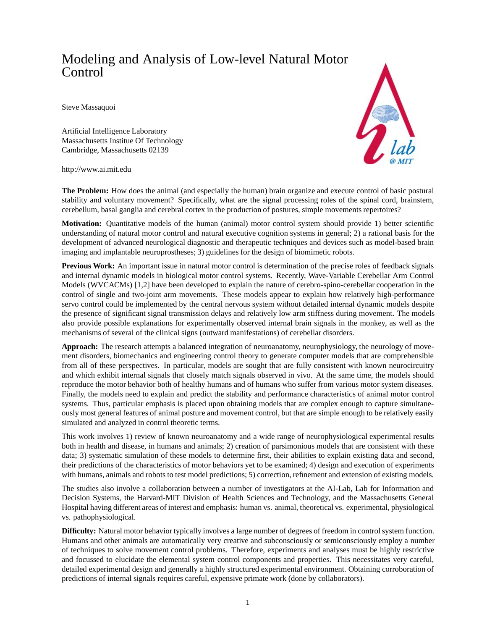## Modeling and Analysis of Low-level Natural Motor Control

Steve Massaquoi

Artificial Intelligence Laboratory Massachusetts Institue Of Technology Cambridge, Massachusetts 02139



http://www.ai.mit.edu

**The Problem:** How does the animal (and especially the human) brain organize and execute control of basic postural stability and voluntary movement? Specifically, what are the signal processing roles of the spinal cord, brainstem, cerebellum, basal ganglia and cerebral cortex in the production of postures, simple movements repertoires?

**Motivation:** Quantitative models of the human (animal) motor control system should provide 1) better scientific understanding of natural motor control and natural executive cognition systems in general; 2) a rational basis for the development of advanced neurological diagnostic and therapeutic techniques and devices such as model-based brain imaging and implantable neuroprostheses; 3) guidelines for the design of biomimetic robots.

**Previous Work:** An important issue in natural motor control is determination of the precise roles of feedback signals and internal dynamic models in biological motor control systems. Recently, Wave-Variable Cerebellar Arm Control Models (WVCACMs) [1,2] have been developed to explain the nature of cerebro-spino-cerebellar cooperation in the control of single and two-joint arm movements. These models appear to explain how relatively high-performance servo control could be implemented by the central nervous system without detailed internal dynamic models despite the presence of significant signal transmission delays and relatively low arm stiffness during movement. The models also provide possible explanations for experimentally observed internal brain signals in the monkey, as well as the mechanisms of several of the clinical signs (outward manifestations) of cerebellar disorders.

**Approach:** The research attempts a balanced integration of neuroanatomy, neurophysiology, the neurology of movement disorders, biomechanics and engineering control theory to generate computer models that are comprehensible from all of these perspectives. In particular, models are sought that are fully consistent with known neurocircuitry and which exhibit internal signals that closely match signals observed in vivo. At the same time, the models should reproduce the motor behavior both of healthy humans and of humans who suffer from various motor system diseases. Finally, the models need to explain and predict the stability and performance characteristics of animal motor control systems. Thus, particular emphasis is placed upon obtaining models that are complex enough to capture simultaneously most general features of animal posture and movement control, but that are simple enough to be relatively easily simulated and analyzed in control theoretic terms.

This work involves 1) review of known neuroanatomy and a wide range of neurophysiological experimental results both in health and disease, in humans and animals; 2) creation of parsimonious models that are consistent with these data; 3) systematic simulation of these models to determine first, their abilities to explain existing data and second, their predictions of the characteristics of motor behaviors yet to be examined; 4) design and execution of experiments with humans, animals and robots to test model predictions; 5) correction, refinement and extension of existing models.

The studies also involve a collaboration between a number of investigators at the AI-Lab, Lab for Information and Decision Systems, the Harvard-MIT Division of Health Sciences and Technology, and the Massachusetts General Hospital having different areas of interest and emphasis: human vs. animal, theoretical vs. experimental, physiological vs. pathophysiological.

**Difficulty:** Natural motor behavior typically involves a large number of degrees of freedom in control system function. Humans and other animals are automatically very creative and subconsciously or semiconsciously employ a number of techniques to solve movement control problems. Therefore, experiments and analyses must be highly restrictive and focussed to elucidate the elemental system control components and properties. This necessitates very careful, detailed experimental design and generally a highly structured experimental environment. Obtaining corroboration of predictions of internal signals requires careful, expensive primate work (done by collaborators).